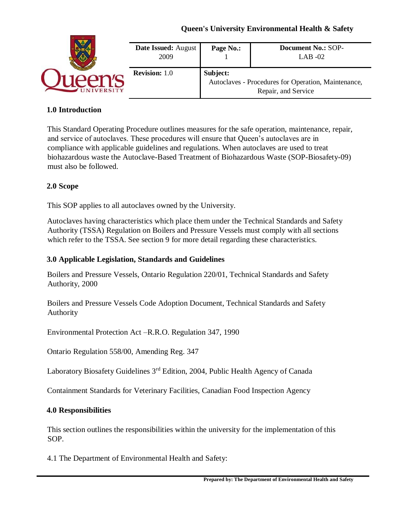| Date Issued: August<br>2009 | Page No.:                                                                              | <b>Document No.: SOP-</b><br>$LAB-02$ |  |
|-----------------------------|----------------------------------------------------------------------------------------|---------------------------------------|--|
| <b>Revision: 1.0</b>        | Subject:<br>Autoclaves - Procedures for Operation, Maintenance,<br>Repair, and Service |                                       |  |

## **1.0 Introduction**

This Standard Operating Procedure outlines measures for the safe operation, maintenance, repair, and service of autoclaves. These procedures will ensure that Queen's autoclaves are in compliance with applicable guidelines and regulations. When autoclaves are used to treat biohazardous waste the Autoclave-Based Treatment of Biohazardous Waste (SOP-Biosafety-09) must also be followed.

## **2.0 Scope**

This SOP applies to all autoclaves owned by the University.

Autoclaves having characteristics which place them under the Technical Standards and Safety Authority (TSSA) Regulation on Boilers and Pressure Vessels must comply with all sections which refer to the TSSA. See section 9 for more detail regarding these characteristics.

## **3.0 Applicable Legislation, Standards and Guidelines**

Boilers and Pressure Vessels, Ontario Regulation 220/01, Technical Standards and Safety Authority, 2000

Boilers and Pressure Vessels Code Adoption Document, Technical Standards and Safety Authority

Environmental Protection Act –R.R.O. Regulation 347, 1990

Ontario Regulation 558/00, Amending Reg. 347

Laboratory Biosafety Guidelines 3<sup>rd</sup> Edition, 2004, Public Health Agency of Canada

Containment Standards for Veterinary Facilities, Canadian Food Inspection Agency

#### **4.0 Responsibilities**

This section outlines the responsibilities within the university for the implementation of this SOP.

4.1 The Department of Environmental Health and Safety: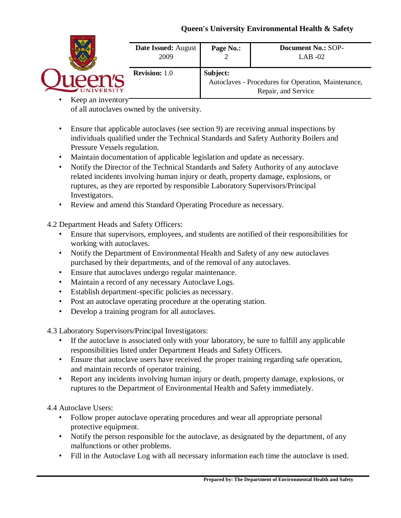

Keep an inventory of all autoclaves owned by the university.

- Ensure that applicable autoclaves (see section 9) are receiving annual inspections by individuals qualified under the Technical Standards and Safety Authority Boilers and Pressure Vessels regulation.
- Maintain documentation of applicable legislation and update as necessary.
- Notify the Director of the Technical Standards and Safety Authority of any autoclave related incidents involving human injury or death, property damage, explosions, or ruptures, as they are reported by responsible Laboratory Supervisors/Principal Investigators.
- Review and amend this Standard Operating Procedure as necessary.

4.2 Department Heads and Safety Officers:

- Ensure that supervisors, employees, and students are notified of their responsibilities for working with autoclaves.
- Notify the Department of Environmental Health and Safety of any new autoclaves purchased by their departments, and of the removal of any autoclaves.
- Ensure that autoclaves undergo regular maintenance.
- Maintain a record of any necessary Autoclave Logs.
- Establish department-specific policies as necessary.
- Post an autoclave operating procedure at the operating station.
- Develop a training program for all autoclaves.

4.3 Laboratory Supervisors/Principal Investigators:

- If the autoclave is associated only with your laboratory, be sure to fulfill any applicable responsibilities listed under Department Heads and Safety Officers.
- Ensure that autoclave users have received the proper training regarding safe operation, and maintain records of operator training.
- Report any incidents involving human injury or death, property damage, explosions, or ruptures to the Department of Environmental Health and Safety immediately.

4.4 Autoclave Users:

- Follow proper autoclave operating procedures and wear all appropriate personal protective equipment.
- Notify the person responsible for the autoclave, as designated by the department, of any malfunctions or other problems.
- Fill in the Autoclave Log with all necessary information each time the autoclave is used.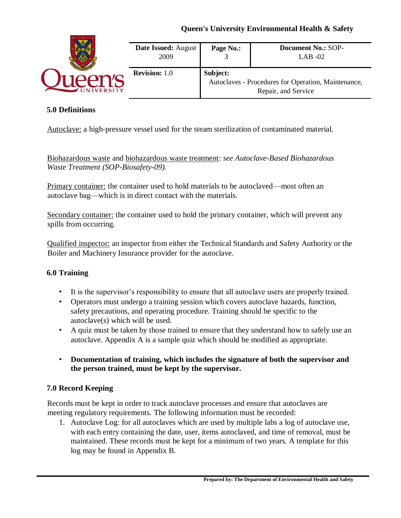| Date Issued: August<br>2009 | Page No.:                                                                              | <b>Document No.: SOP-</b><br>$LAB-02$ |  |
|-----------------------------|----------------------------------------------------------------------------------------|---------------------------------------|--|
| <b>Revision: 1.0</b>        | Subject:<br>Autoclaves - Procedures for Operation, Maintenance,<br>Repair, and Service |                                       |  |

## **5.0 Definitions**

Autoclave: a high-pressure vessel used for the steam sterilization of contaminated material.

Biohazardous waste and biohazardous waste treatment: *see Autoclave-Based Biohazardous Waste Treatment (SOP-Biosafety-09).* 

Primary container: the container used to hold materials to be autoclaved—most often an autoclave bag—which is in direct contact with the materials.

Secondary container: the container used to hold the primary container, which will prevent any spills from occurring.

Qualified inspector: an inspector from either the Technical Standards and Safety Authority or the Boiler and Machinery Insurance provider for the autoclave.

#### **6.0 Training**

- It is the supervisor's responsibility to ensure that all autoclave users are properly trained.
- Operators must undergo a training session which covers autoclave hazards, function, safety precautions, and operating procedure. Training should be specific to the autoclave(s) which will be used.
- A quiz must be taken by those trained to ensure that they understand how to safely use an autoclave. Appendix A is a sample quiz which should be modified as appropriate.
- **Documentation of training, which includes the signature of both the supervisor and the person trained, must be kept by the supervisor.**

## **7.0 Record Keeping**

Records must be kept in order to track autoclave processes and ensure that autoclaves are meeting regulatory requirements. The following information must be recorded:

1. Autoclave Log: for all autoclaves which are used by multiple labs a log of autoclave use, with each entry containing the date, user, items autoclaved, and time of removal, must be maintained. These records must be kept for a minimum of two years. A template for this log may be found in Appendix B.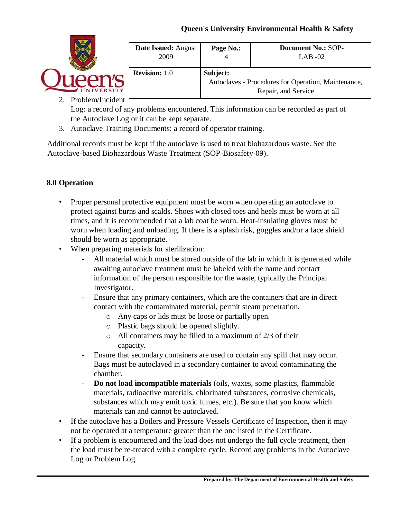

2. Problem/Incident

Log: a record of any problems encountered. This information can be recorded as part of the Autoclave Log or it can be kept separate.

3. Autoclave Training Documents: a record of operator training.

Additional records must be kept if the autoclave is used to treat biohazardous waste. See the Autoclave-based Biohazardous Waste Treatment (SOP-Biosafety-09).

## **8.0 Operation**

- Proper personal protective equipment must be worn when operating an autoclave to protect against burns and scalds. Shoes with closed toes and heels must be worn at all times, and it is recommended that a lab coat be worn. Heat-insulating gloves must be worn when loading and unloading. If there is a splash risk, goggles and/or a face shield should be worn as appropriate.
- When preparing materials for sterilization:
	- ‐ All material which must be stored outside of the lab in which it is generated while awaiting autoclave treatment must be labeled with the name and contact information of the person responsible for the waste, typically the Principal Investigator.
	- Ensure that any primary containers, which are the containers that are in direct contact with the contaminated material, permit steam penetration.
		- o Any caps or lids must be loose or partially open.
		- o Plastic bags should be opened slightly.
		- o All containers may be filled to a maximum of 2/3 of their capacity.
	- Ensure that secondary containers are used to contain any spill that may occur. Bags must be autoclaved in a secondary container to avoid contaminating the chamber.
	- **Do not load incompatible materials** (oils, waxes, some plastics, flammable materials, radioactive materials, chlorinated substances, corrosive chemicals, substances which may emit toxic fumes, etc.). Be sure that you know which materials can and cannot be autoclaved.
- If the autoclave has a Boilers and Pressure Vessels Certificate of Inspection, then it may not be operated at a temperature greater than the one listed in the Certificate.
- If a problem is encountered and the load does not undergo the full cycle treatment, then the load must be re-treated with a complete cycle. Record any problems in the Autoclave Log or Problem Log.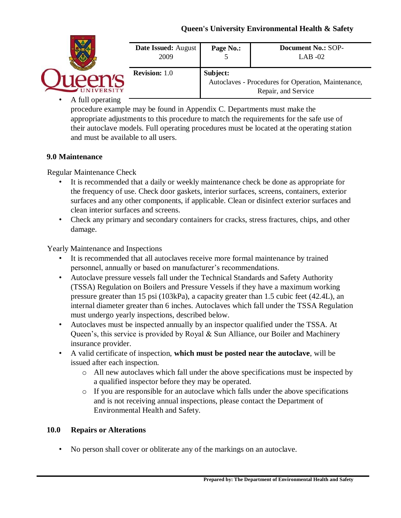|                                    | Date Issued: August<br>2009 | Page No.:                                                                              | Document No.: SOP-<br>$LAB-02$ |  |
|------------------------------------|-----------------------------|----------------------------------------------------------------------------------------|--------------------------------|--|
| $\sim$ $\sim$ $\sim$ $\sim$ $\sim$ | <b>Revision: 1.0</b>        | Subject:<br>Autoclaves - Procedures for Operation, Maintenance,<br>Repair, and Service |                                |  |

• A full operating

procedure example may be found in Appendix C. Departments must make the appropriate adjustments to this procedure to match the requirements for the safe use of their autoclave models. Full operating procedures must be located at the operating station and must be available to all users.

#### **9.0 Maintenance**

Regular Maintenance Check

- It is recommended that a daily or weekly maintenance check be done as appropriate for the frequency of use. Check door gaskets, interior surfaces, screens, containers, exterior surfaces and any other components, if applicable. Clean or disinfect exterior surfaces and clean interior surfaces and screens.
- Check any primary and secondary containers for cracks, stress fractures, chips, and other damage.

Yearly Maintenance and Inspections

- It is recommended that all autoclaves receive more formal maintenance by trained personnel, annually or based on manufacturer's recommendations.
- Autoclave pressure vessels fall under the Technical Standards and Safety Authority (TSSA) Regulation on Boilers and Pressure Vessels if they have a maximum working pressure greater than 15 psi (103kPa), a capacity greater than 1.5 cubic feet (42.4L), an internal diameter greater than 6 inches. Autoclaves which fall under the TSSA Regulation must undergo yearly inspections, described below.
- Autoclaves must be inspected annually by an inspector qualified under the TSSA. At Queen's, this service is provided by Royal & Sun Alliance, our Boiler and Machinery insurance provider.
- A valid certificate of inspection, **which must be posted near the autoclave**, will be issued after each inspection.
	- o All new autoclaves which fall under the above specifications must be inspected by a qualified inspector before they may be operated.
	- o If you are responsible for an autoclave which falls under the above specifications and is not receiving annual inspections, please contact the Department of Environmental Health and Safety.

## **10.0 Repairs or Alterations**

• No person shall cover or obliterate any of the markings on an autoclave.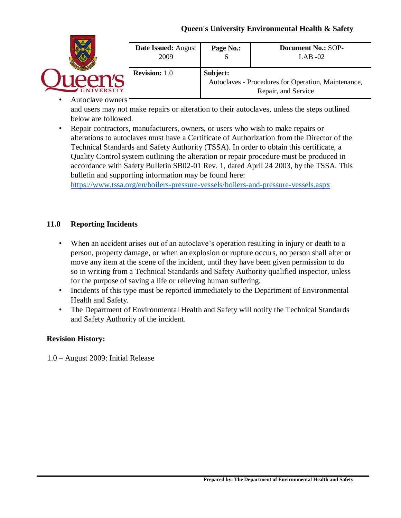| Date Issued: August<br>2009 | Page No.:                                                                              | <b>Document No.: SOP-</b><br>$LAB-02$ |  |
|-----------------------------|----------------------------------------------------------------------------------------|---------------------------------------|--|
| <b>Revision: 1.0</b>        | Subject:<br>Autoclaves - Procedures for Operation, Maintenance,<br>Repair, and Service |                                       |  |

- Autoclave owners and users may not make repairs or alteration to their autoclaves, unless the steps outlined below are followed.
- Repair contractors, manufacturers, owners, or users who wish to make repairs or alterations to autoclaves must have a Certificate of Authorization from the Director of the Technical Standards and Safety Authority (TSSA). In order to obtain this certificate, a Quality Control system outlining the alteration or repair procedure must be produced in accordance with Safety Bulletin SB02-01 Rev. 1, dated April 24 2003, by the TSSA. This bulletin and supporting information may be found here:

<https://www.tssa.org/en/boilers-pressure-vessels/boilers-and-pressure-vessels.aspx>

#### **11.0 Reporting Incidents**

- When an accident arises out of an autoclave's operation resulting in injury or death to a person, property damage, or when an explosion or rupture occurs, no person shall alter or move any item at the scene of the incident, until they have been given permission to do so in writing from a Technical Standards and Safety Authority qualified inspector, unless for the purpose of saving a life or relieving human suffering.
- Incidents of this type must be reported immediately to the Department of Environmental Health and Safety.
- The Department of Environmental Health and Safety will notify the Technical Standards and Safety Authority of the incident.

#### **Revision History:**

1.0 – August 2009: Initial Release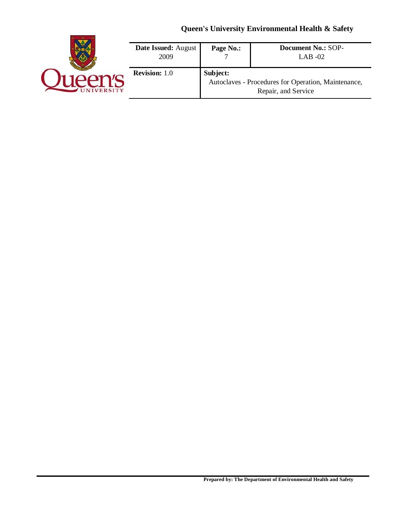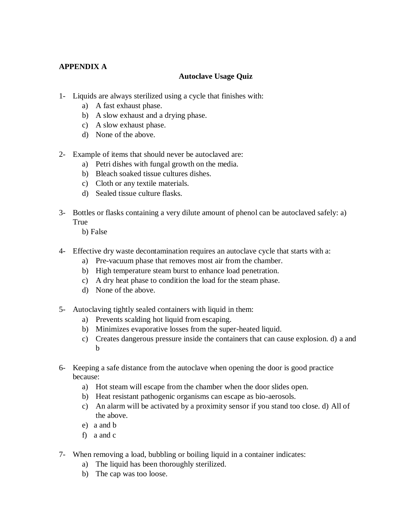## **APPENDIX A**

#### **Autoclave Usage Quiz**

- 1- Liquids are always sterilized using a cycle that finishes with:
	- a) A fast exhaust phase.
	- b) A slow exhaust and a drying phase.
	- c) A slow exhaust phase.
	- d) None of the above.
- 2- Example of items that should never be autoclaved are:
	- a) Petri dishes with fungal growth on the media.
	- b) Bleach soaked tissue cultures dishes.
	- c) Cloth or any textile materials.
	- d) Sealed tissue culture flasks.
- 3- Bottles or flasks containing a very dilute amount of phenol can be autoclaved safely: a) True
	- b) False
- 4- Effective dry waste decontamination requires an autoclave cycle that starts with a:
	- a) Pre-vacuum phase that removes most air from the chamber.
	- b) High temperature steam burst to enhance load penetration.
	- c) A dry heat phase to condition the load for the steam phase.
	- d) None of the above.
- 5- Autoclaving tightly sealed containers with liquid in them:
	- a) Prevents scalding hot liquid from escaping.
	- b) Minimizes evaporative losses from the super-heated liquid.
	- c) Creates dangerous pressure inside the containers that can cause explosion. d) a and b
- 6- Keeping a safe distance from the autoclave when opening the door is good practice because:
	- a) Hot steam will escape from the chamber when the door slides open.
	- b) Heat resistant pathogenic organisms can escape as bio-aerosols.
	- c) An alarm will be activated by a proximity sensor if you stand too close. d) All of the above.
	- e) a and b
	- f) a and c
- 7- When removing a load, bubbling or boiling liquid in a container indicates:
	- a) The liquid has been thoroughly sterilized.
	- b) The cap was too loose.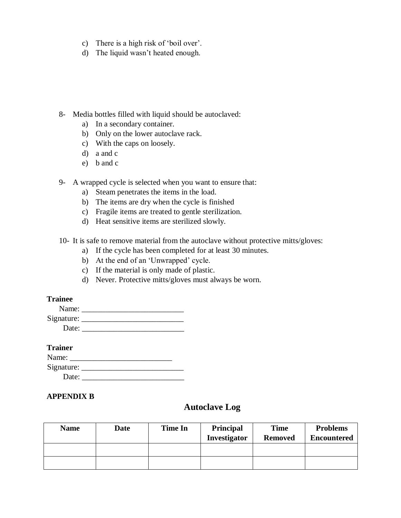- c) There is a high risk of 'boil over'.
- d) The liquid wasn't heated enough.

- 8- Media bottles filled with liquid should be autoclaved:
	- a) In a secondary container.
	- b) Only on the lower autoclave rack.
	- c) With the caps on loosely.
	- d) a and c
	- e) b and c
- 9- A wrapped cycle is selected when you want to ensure that:
	- a) Steam penetrates the items in the load.
	- b) The items are dry when the cycle is finished
	- c) Fragile items are treated to gentle sterilization.
	- d) Heat sensitive items are sterilized slowly.

#### 10- It is safe to remove material from the autoclave without protective mitts/gloves:

- a) If the cycle has been completed for at least 30 minutes.
- b) At the end of an 'Unwrapped' cycle.
- c) If the material is only made of plastic.
- d) Never. Protective mitts/gloves must always be worn.

#### **Trainee**

| Name:      |  |
|------------|--|
| Signature: |  |
| Date:      |  |

#### **Trainer**

| Name:      |  |
|------------|--|
| Signature: |  |
| Date:      |  |

## **APPENDIX B**

## **Autoclave Log**

| <b>Name</b> | <b>Date</b> | <b>Time In</b> | <b>Principal</b><br>Investigator | <b>Time</b><br><b>Removed</b> | <b>Problems</b><br><b>Encountered</b> |
|-------------|-------------|----------------|----------------------------------|-------------------------------|---------------------------------------|
|             |             |                |                                  |                               |                                       |
|             |             |                |                                  |                               |                                       |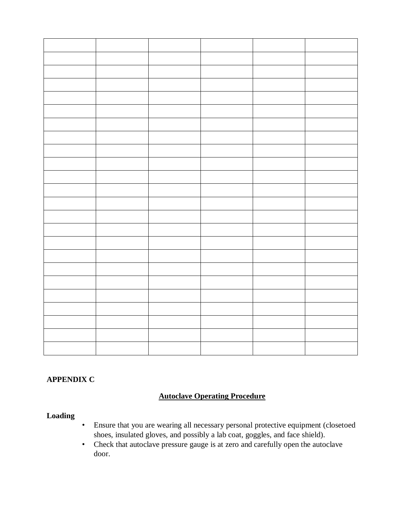## **APPENDIX C**

## **Autoclave Operating Procedure**

## **Loading**

- Ensure that you are wearing all necessary personal protective equipment (closetoed shoes, insulated gloves, and possibly a lab coat, goggles, and face shield).
- Check that autoclave pressure gauge is at zero and carefully open the autoclave door.